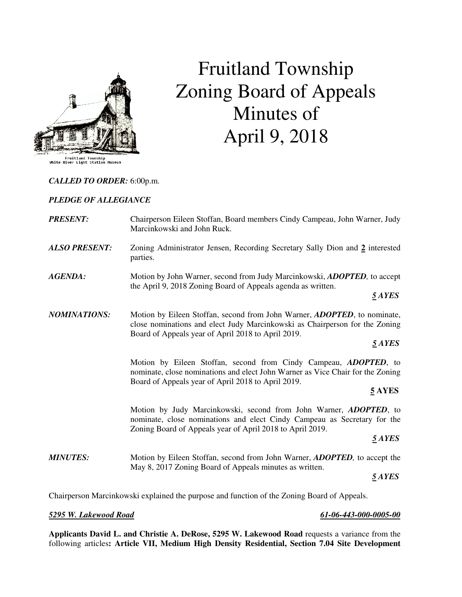

# Fruitland Township Zoning Board of Appeals Minutes of April 9, 2018

### *CALLED TO ORDER:* 6:00p.m.

### *PLEDGE OF ALLEGIANCE*

| <b>PRESENT:</b>      | Chairperson Eileen Stoffan, Board members Cindy Campeau, John Warner, Judy<br>Marcinkowski and John Ruck.                                                                                                               |
|----------------------|-------------------------------------------------------------------------------------------------------------------------------------------------------------------------------------------------------------------------|
| <b>ALSO PRESENT:</b> | Zoning Administrator Jensen, Recording Secretary Sally Dion and 2 interested<br>parties.                                                                                                                                |
| <b>AGENDA:</b>       | Motion by John Warner, second from Judy Marcinkowski, ADOPTED, to accept<br>the April 9, 2018 Zoning Board of Appeals agenda as written.<br>5 AYES                                                                      |
| <b>NOMINATIONS:</b>  | Motion by Eileen Stoffan, second from John Warner, ADOPTED, to nominate,<br>close nominations and elect Judy Marcinkowski as Chairperson for the Zoning<br>Board of Appeals year of April 2018 to April 2019.<br>5 AYES |
|                      | Motion by Eileen Stoffan, second from Cindy Campeau, ADOPTED, to<br>nominate, close nominations and elect John Warner as Vice Chair for the Zoning<br>Board of Appeals year of April 2018 to April 2019.<br>5 AYES      |
|                      | Motion by Judy Marcinkowski, second from John Warner, ADOPTED, to<br>nominate, close nominations and elect Cindy Campeau as Secretary for the<br>Zoning Board of Appeals year of April 2018 to April 2019.<br>5 AYES    |
| <b>MINUTES:</b>      | Motion by Eileen Stoffan, second from John Warner, ADOPTED, to accept the<br>May 8, 2017 Zoning Board of Appeals minutes as written.<br>5 AYES                                                                          |

Chairperson Marcinkowski explained the purpose and function of the Zoning Board of Appeals.

### *5295 W. Lakewood Road 61-06-443-000-0005-00*

**Applicants David L. and Christie A. DeRose, 5295 W. Lakewood Road** requests a variance from the following articles**: Article VII, Medium High Density Residential, Section 7.04 Site Development**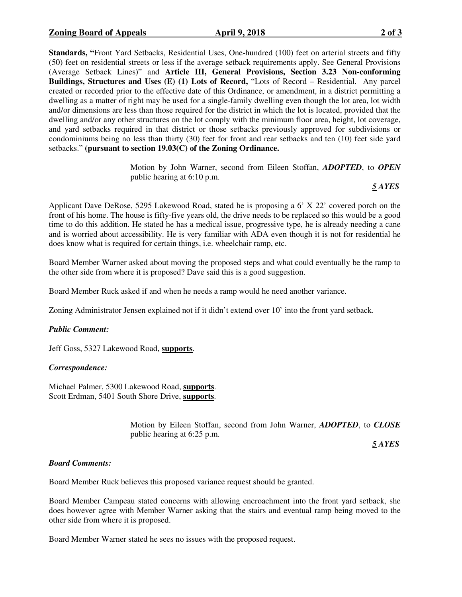**Standards, "**Front Yard Setbacks, Residential Uses, One-hundred (100) feet on arterial streets and fifty (50) feet on residential streets or less if the average setback requirements apply. See General Provisions (Average Setback Lines)" and **Article III, General Provisions, Section 3.23 Non-conforming Buildings, Structures and Uses (E) (1) Lots of Record,** "Lots of Record – Residential. Any parcel created or recorded prior to the effective date of this Ordinance, or amendment, in a district permitting a dwelling as a matter of right may be used for a single-family dwelling even though the lot area, lot width and/or dimensions are less than those required for the district in which the lot is located, provided that the dwelling and/or any other structures on the lot comply with the minimum floor area, height, lot coverage, and yard setbacks required in that district or those setbacks previously approved for subdivisions or condominiums being no less than thirty (30) feet for front and rear setbacks and ten (10) feet side yard setbacks." **(pursuant to section 19.03(C) of the Zoning Ordinance.**

> Motion by John Warner, second from Eileen Stoffan, *ADOPTED*, to *OPEN* public hearing at 6:10 p.m.

 *5 AYES* 

Applicant Dave DeRose, 5295 Lakewood Road, stated he is proposing a 6' X 22' covered porch on the front of his home. The house is fifty-five years old, the drive needs to be replaced so this would be a good time to do this addition. He stated he has a medical issue, progressive type, he is already needing a cane and is worried about accessibility. He is very familiar with ADA even though it is not for residential he does know what is required for certain things, i.e. wheelchair ramp, etc.

Board Member Warner asked about moving the proposed steps and what could eventually be the ramp to the other side from where it is proposed? Dave said this is a good suggestion.

Board Member Ruck asked if and when he needs a ramp would he need another variance.

Zoning Administrator Jensen explained not if it didn't extend over 10' into the front yard setback.

## *Public Comment:*

Jeff Goss, 5327 Lakewood Road, **supports**.

### *Correspondence:*

Michael Palmer, 5300 Lakewood Road, **supports**. Scott Erdman, 5401 South Shore Drive, **supports**.

> Motion by Eileen Stoffan, second from John Warner, *ADOPTED*, to *CLOSE* public hearing at 6:25 p.m.

 *5 AYES* 

### *Board Comments:*

Board Member Ruck believes this proposed variance request should be granted.

Board Member Campeau stated concerns with allowing encroachment into the front yard setback, she does however agree with Member Warner asking that the stairs and eventual ramp being moved to the other side from where it is proposed.

Board Member Warner stated he sees no issues with the proposed request.